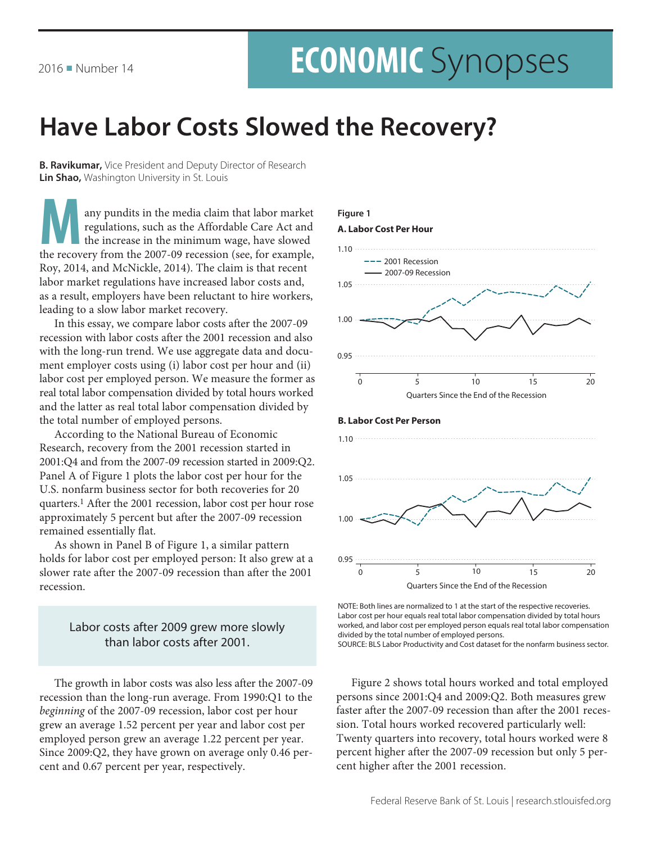# **ECONOMIC** Synopses

## Have Labor Costs Slowed the Recovery?

**B. Ravikumar,** Vice President and Deputy Director of Research Lin Shao, Washington University in St. Louis

any pundits in the media claim that labor market regulations, such as the Affordable Care Act and the increase in the minimum wage, have slowed the recovery from the 2007-09 recession (see, for example, Roy, 2014, and McNickle, 2014). The claim is that recent labor market regulations have increased labor costs and, as a result, employers have been reluctant to hire workers, leading to a slow labor market recovery.

In this essay, we compare labor costs after the 2007-09 recession with labor costs after the 2001 recession and also with the long-run trend. We use aggregate data and document employer costs using (i) labor cost per hour and (ii) labor cost per employed person. We measure the former as real total labor compensation divided by total hours worked and the latter as real total labor compensation divided by the total number of employed persons.

According to the National Bureau of Economic Research, recovery from the 2001 recession started in 2001:Q4 and from the 2007-09 recession started in 2009:Q2. Panel A of Figure 1 plots the labor cost per hour for the U.S. nonfarm business sector for both recoveries for 20 quarters.<sup>1</sup> After the 2001 recession, labor cost per hour rose approximately 5 percent but after the 2007-09 recession remained essentially flat.

As shown in Panel B of Figure 1, a similar pattern holds for labor cost per employed person: It also grew at a slower rate after the 2007-09 recession than after the 2001 recession.

#### Labor costs after 2009 grew more slowly than labor costs after 2001.

The growth in labor costs was also less after the 2007-09 recession than the long-run average. From 1990:Q1 to the beginning of the 2007-09 recession, labor cost per hour grew an average 1.52 percent per year and labor cost per employed person grew an average 1.22 percent per year. Since 2009:Q2, they have grown on average only 0.46 percent and 0.67 percent per year, respectively.



NOTE: Both lines are normalized to 1 at the start of the respective recoveries. Labor cost per hour equals real total labor compensation divided by total hours worked, and labor cost per employed person equals real total labor compensation divided by the total number of employed persons. SOURCE: BLS Labor Productivity and Cost dataset for the nonfarm business sector.

Figure 2 shows total hours worked and total employed persons since 2001:Q4 and 2009:Q2. Both measures grew faster after the 2007-09 recession than after the 2001 recession. Total hours worked recovered particularly well: Twenty quarters into recovery, total hours worked were 8 percent higher after the 2007-09 recession but only 5 percent higher after the 2001 recession.